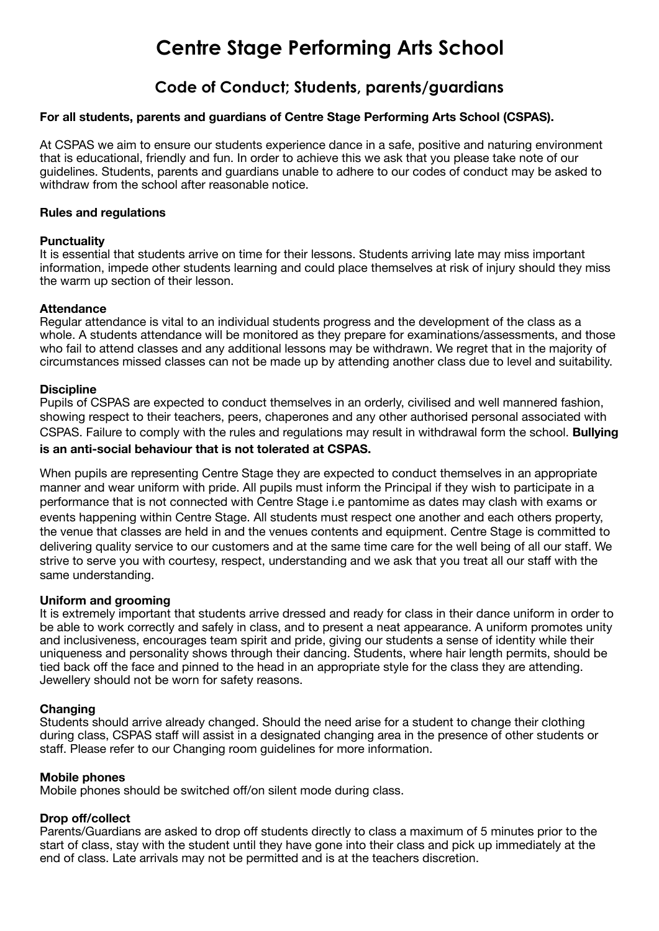# **Centre Stage Performing Arts School**

# **Code of Conduct; Students, parents/guardians**

### **For all students, parents and guardians of Centre Stage Performing Arts School (CSPAS).**

At CSPAS we aim to ensure our students experience dance in a safe, positive and naturing environment that is educational, friendly and fun. In order to achieve this we ask that you please take note of our guidelines. Students, parents and guardians unable to adhere to our codes of conduct may be asked to withdraw from the school after reasonable notice.

#### **Rules and regulations**

#### **Punctuality**

It is essential that students arrive on time for their lessons. Students arriving late may miss important information, impede other students learning and could place themselves at risk of injury should they miss the warm up section of their lesson.

#### **Attendance**

Regular attendance is vital to an individual students progress and the development of the class as a whole. A students attendance will be monitored as they prepare for examinations/assessments, and those who fail to attend classes and any additional lessons may be withdrawn. We regret that in the majority of circumstances missed classes can not be made up by attending another class due to level and suitability.

#### **Discipline**

Pupils of CSPAS are expected to conduct themselves in an orderly, civilised and well mannered fashion, showing respect to their teachers, peers, chaperones and any other authorised personal associated with CSPAS. Failure to comply with the rules and regulations may result in withdrawal form the school. **Bullying is an anti-social behaviour that is not tolerated at CSPAS.**

When pupils are representing Centre Stage they are expected to conduct themselves in an appropriate manner and wear uniform with pride. All pupils must inform the Principal if they wish to participate in a performance that is not connected with Centre Stage i.e pantomime as dates may clash with exams or events happening within Centre Stage. All students must respect one another and each others property, the venue that classes are held in and the venues contents and equipment. Centre Stage is committed to delivering quality service to our customers and at the same time care for the well being of all our staff. We strive to serve you with courtesy, respect, understanding and we ask that you treat all our staff with the same understanding.

#### **Uniform and grooming**

It is extremely important that students arrive dressed and ready for class in their dance uniform in order to be able to work correctly and safely in class, and to present a neat appearance. A uniform promotes unity and inclusiveness, encourages team spirit and pride, giving our students a sense of identity while their uniqueness and personality shows through their dancing. Students, where hair length permits, should be tied back off the face and pinned to the head in an appropriate style for the class they are attending. Jewellery should not be worn for safety reasons.

# **Changing**

Students should arrive already changed. Should the need arise for a student to change their clothing during class, CSPAS staff will assist in a designated changing area in the presence of other students or staff. Please refer to our Changing room guidelines for more information.

#### **Mobile phones**

Mobile phones should be switched off/on silent mode during class.

# **Drop off/collect**

Parents/Guardians are asked to drop off students directly to class a maximum of 5 minutes prior to the start of class, stay with the student until they have gone into their class and pick up immediately at the end of class. Late arrivals may not be permitted and is at the teachers discretion.